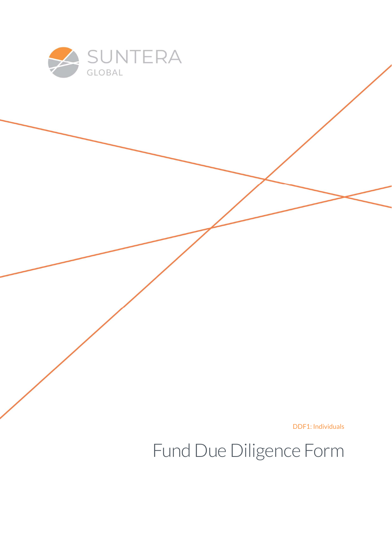

DDF1: Individuals

Fund Due Diligence Form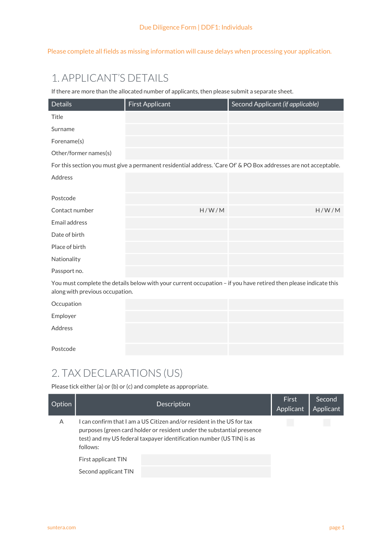Please complete all fields as missing information will cause delays when processing your application.

# 1. APPLICANT'S DETAILS

If there are more than the allocated number of applicants, then please submit a separate sheet.

| <b>Details</b>                                                                                                                                      | <b>First Applicant</b> | Second Applicant (if applicable)                                                                                 |  |  |
|-----------------------------------------------------------------------------------------------------------------------------------------------------|------------------------|------------------------------------------------------------------------------------------------------------------|--|--|
| Title                                                                                                                                               |                        |                                                                                                                  |  |  |
| Surname                                                                                                                                             |                        |                                                                                                                  |  |  |
| Forename(s)                                                                                                                                         |                        |                                                                                                                  |  |  |
| Other/former names(s)                                                                                                                               |                        |                                                                                                                  |  |  |
|                                                                                                                                                     |                        | For this section you must give a permanent residential address. 'Care Of' & PO Box addresses are not acceptable. |  |  |
| Address                                                                                                                                             |                        |                                                                                                                  |  |  |
|                                                                                                                                                     |                        |                                                                                                                  |  |  |
| Postcode                                                                                                                                            |                        |                                                                                                                  |  |  |
| Contact number                                                                                                                                      | H/W/M                  | H/W/M                                                                                                            |  |  |
| Email address                                                                                                                                       |                        |                                                                                                                  |  |  |
| Date of birth                                                                                                                                       |                        |                                                                                                                  |  |  |
| Place of birth                                                                                                                                      |                        |                                                                                                                  |  |  |
| Nationality                                                                                                                                         |                        |                                                                                                                  |  |  |
| Passport no.                                                                                                                                        |                        |                                                                                                                  |  |  |
| You must complete the details below with your current occupation - if you have retired then please indicate this<br>along with previous occupation. |                        |                                                                                                                  |  |  |
| Occupation                                                                                                                                          |                        |                                                                                                                  |  |  |
| Employer                                                                                                                                            |                        |                                                                                                                  |  |  |
| Address                                                                                                                                             |                        |                                                                                                                  |  |  |
| Postcode                                                                                                                                            |                        |                                                                                                                  |  |  |

#### 2. TAX DECLARATIONS (US)

Please tick either (a) or (b) or (c) and complete as appropriate.

| Option |                      | Description                                                                                                                                                                                                             | First<br>Applicant | Second<br>Applicant |
|--------|----------------------|-------------------------------------------------------------------------------------------------------------------------------------------------------------------------------------------------------------------------|--------------------|---------------------|
| A      | follows:             | can confirm that I am a US Citizen and/or resident in the US for tax<br>purposes (green card holder or resident under the substantial presence<br>test) and my US federal taxpayer identification number (US TIN) is as |                    |                     |
|        | First applicant TIN  |                                                                                                                                                                                                                         |                    |                     |
|        | Second applicant TIN |                                                                                                                                                                                                                         |                    |                     |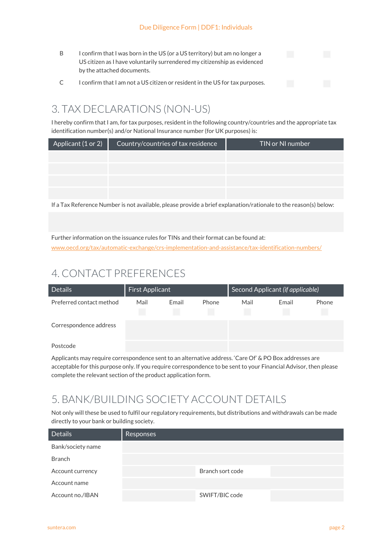- B I confirm that I was born in the US (or a US territory) but am no longer a US citizen as I have voluntarily surrendered my citizenship as evidenced by the attached documents.
- C I confirm that I am not a US citizen or resident in the US for tax purposes.

## 3. TAX DECLARATIONS (NON-US)

I hereby confirm that I am, for tax purposes, resident in the following country/countries and the appropriate tax identification number(s) and/or National Insurance number (for UK purposes) is:

| Applicant (1 or 2) | Country/countries of tax residence | TIN or NI number |
|--------------------|------------------------------------|------------------|
|                    |                                    |                  |
|                    |                                    |                  |
|                    |                                    |                  |
|                    |                                    |                  |

If a Tax Reference Number is not available, please provide a brief explanation/rationale to the reason(s) below:

Further information on the issuance rules for TINs and their format can be found at:

www.oecd.org/tax/automatic-exchange/crs-implementation-and-assistance/tax-identification-numbers/

# 4. CONTACT PREFERENCES

| <b>Details</b>           | Second Applicant (if applicable)<br>First Applicant |       |       |      |       |       |
|--------------------------|-----------------------------------------------------|-------|-------|------|-------|-------|
| Preferred contact method | Mail                                                | Email | Phone | Mail | Email | Phone |
| Correspondence address   |                                                     |       |       |      |       |       |
| Postcode                 |                                                     |       |       |      |       |       |

Applicants may require correspondence sent to an alternative address. 'Care Of' & PO Box addresses are acceptable for this purpose only. If you require correspondence to be sent to your Financial Advisor, then please complete the relevant section of the product application form.

### 5. BANK/BUILDING SOCIETY ACCOUNT DETAILS

Not only will these be used to fulfil our regulatory requirements, but distributions and withdrawals can be made directly to your bank or building society.

| <b>Details</b>    | <b>Responses</b> |                  |  |
|-------------------|------------------|------------------|--|
| Bank/society name |                  |                  |  |
| <b>Branch</b>     |                  |                  |  |
| Account currency  |                  | Branch sort code |  |
| Account name      |                  |                  |  |
| Account no./IBAN  |                  | SWIFT/BIC code   |  |